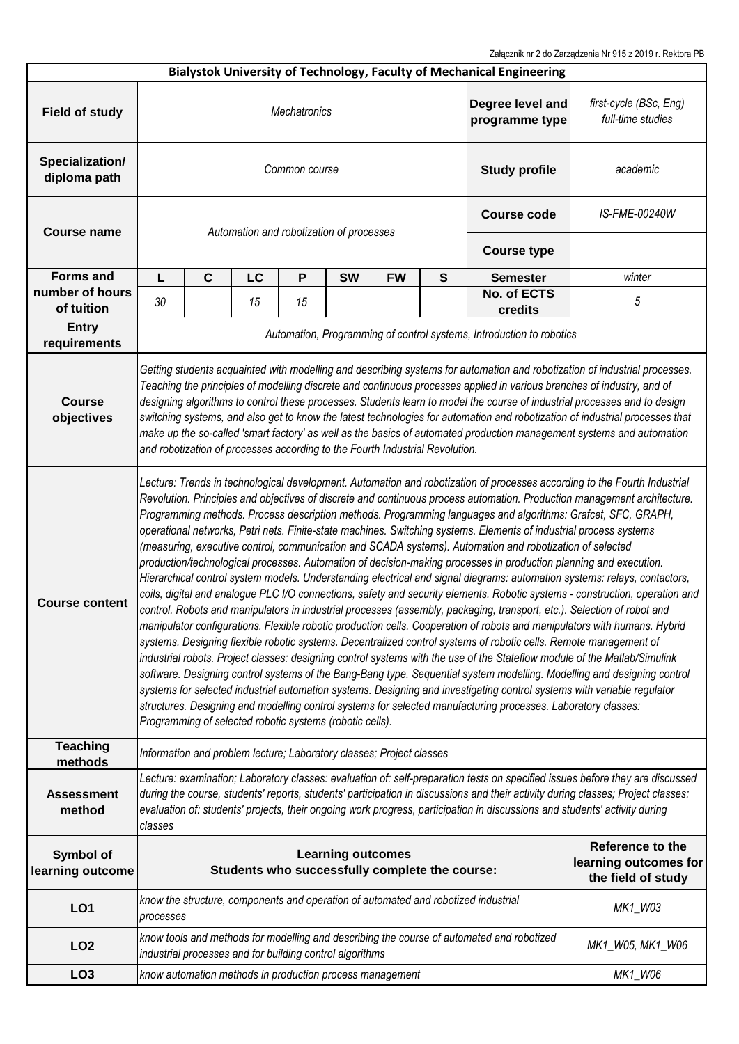Załącznik nr 2 do Zarządzenia Nr 915 z 2019 r. Rektora PB

|                                 |                                                                                                                                                                                                                                                                                                                                                                                                                                                                                                                                                                                                                                                                                                                                                                                                                                                                                                                                                                                                                                                                                                                                                                                                                                                                                                                                                                                                                                                                                                                                                                                                                                                                                                                                                                                                                                                                                                                                        |                                                                     |                                          |               |                                                                      |                  |                                                                 | <b>Bialystok University of Technology, Faculty of Mechanical Engineering</b> |                                             |  |  |
|---------------------------------|----------------------------------------------------------------------------------------------------------------------------------------------------------------------------------------------------------------------------------------------------------------------------------------------------------------------------------------------------------------------------------------------------------------------------------------------------------------------------------------------------------------------------------------------------------------------------------------------------------------------------------------------------------------------------------------------------------------------------------------------------------------------------------------------------------------------------------------------------------------------------------------------------------------------------------------------------------------------------------------------------------------------------------------------------------------------------------------------------------------------------------------------------------------------------------------------------------------------------------------------------------------------------------------------------------------------------------------------------------------------------------------------------------------------------------------------------------------------------------------------------------------------------------------------------------------------------------------------------------------------------------------------------------------------------------------------------------------------------------------------------------------------------------------------------------------------------------------------------------------------------------------------------------------------------------------|---------------------------------------------------------------------|------------------------------------------|---------------|----------------------------------------------------------------------|------------------|-----------------------------------------------------------------|------------------------------------------------------------------------------|---------------------------------------------|--|--|
| <b>Field of study</b>           | Degree level and<br>Mechatronics<br>programme type                                                                                                                                                                                                                                                                                                                                                                                                                                                                                                                                                                                                                                                                                                                                                                                                                                                                                                                                                                                                                                                                                                                                                                                                                                                                                                                                                                                                                                                                                                                                                                                                                                                                                                                                                                                                                                                                                     |                                                                     |                                          |               |                                                                      |                  |                                                                 |                                                                              | first-cycle (BSc, Eng)<br>full-time studies |  |  |
| Specialization/<br>diploma path |                                                                                                                                                                                                                                                                                                                                                                                                                                                                                                                                                                                                                                                                                                                                                                                                                                                                                                                                                                                                                                                                                                                                                                                                                                                                                                                                                                                                                                                                                                                                                                                                                                                                                                                                                                                                                                                                                                                                        |                                                                     |                                          | Common course | <b>Study profile</b>                                                 | academic         |                                                                 |                                                                              |                                             |  |  |
| <b>Course name</b>              |                                                                                                                                                                                                                                                                                                                                                                                                                                                                                                                                                                                                                                                                                                                                                                                                                                                                                                                                                                                                                                                                                                                                                                                                                                                                                                                                                                                                                                                                                                                                                                                                                                                                                                                                                                                                                                                                                                                                        |                                                                     | Automation and robotization of processes |               | <b>Course code</b>                                                   | IS-FME-00240W    |                                                                 |                                                                              |                                             |  |  |
|                                 |                                                                                                                                                                                                                                                                                                                                                                                                                                                                                                                                                                                                                                                                                                                                                                                                                                                                                                                                                                                                                                                                                                                                                                                                                                                                                                                                                                                                                                                                                                                                                                                                                                                                                                                                                                                                                                                                                                                                        |                                                                     |                                          |               | <b>Course type</b>                                                   |                  |                                                                 |                                                                              |                                             |  |  |
| <b>Forms and</b>                | L                                                                                                                                                                                                                                                                                                                                                                                                                                                                                                                                                                                                                                                                                                                                                                                                                                                                                                                                                                                                                                                                                                                                                                                                                                                                                                                                                                                                                                                                                                                                                                                                                                                                                                                                                                                                                                                                                                                                      | C                                                                   | LC                                       | P             | <b>SW</b>                                                            | <b>FW</b>        | S                                                               | <b>Semester</b>                                                              | winter                                      |  |  |
| number of hours<br>of tuition   | 30                                                                                                                                                                                                                                                                                                                                                                                                                                                                                                                                                                                                                                                                                                                                                                                                                                                                                                                                                                                                                                                                                                                                                                                                                                                                                                                                                                                                                                                                                                                                                                                                                                                                                                                                                                                                                                                                                                                                     |                                                                     | 15                                       | 15            |                                                                      |                  |                                                                 | No. of ECTS<br>credits                                                       | 5                                           |  |  |
| <b>Entry</b><br>requirements    | Automation, Programming of control systems, Introduction to robotics                                                                                                                                                                                                                                                                                                                                                                                                                                                                                                                                                                                                                                                                                                                                                                                                                                                                                                                                                                                                                                                                                                                                                                                                                                                                                                                                                                                                                                                                                                                                                                                                                                                                                                                                                                                                                                                                   |                                                                     |                                          |               |                                                                      |                  |                                                                 |                                                                              |                                             |  |  |
| <b>Course</b><br>objectives     | Getting students acquainted with modelling and describing systems for automation and robotization of industrial processes.<br>Teaching the principles of modelling discrete and continuous processes applied in various branches of industry, and of<br>designing algorithms to control these processes. Students learn to model the course of industrial processes and to design<br>switching systems, and also get to know the latest technologies for automation and robotization of industrial processes that<br>make up the so-called 'smart factory' as well as the basics of automated production management systems and automation<br>and robotization of processes according to the Fourth Industrial Revolution.                                                                                                                                                                                                                                                                                                                                                                                                                                                                                                                                                                                                                                                                                                                                                                                                                                                                                                                                                                                                                                                                                                                                                                                                             |                                                                     |                                          |               |                                                                      |                  |                                                                 |                                                                              |                                             |  |  |
| <b>Course content</b>           | Lecture: Trends in technological development. Automation and robotization of processes according to the Fourth Industrial<br>Revolution. Principles and objectives of discrete and continuous process automation. Production management architecture.<br>Programming methods. Process description methods. Programming languages and algorithms: Grafcet, SFC, GRAPH,<br>operational networks, Petri nets. Finite-state machines. Switching systems. Elements of industrial process systems<br>(measuring, executive control, communication and SCADA systems). Automation and robotization of selected<br>production/technological processes. Automation of decision-making processes in production planning and execution.<br>Hierarchical control system models. Understanding electrical and signal diagrams: automation systems: relays, contactors,<br>coils, digital and analogue PLC I/O connections, safety and security elements. Robotic systems - construction, operation and<br>control. Robots and manipulators in industrial processes (assembly, packaging, transport, etc.). Selection of robot and<br>manipulator configurations. Flexible robotic production cells. Cooperation of robots and manipulators with humans. Hybrid<br>systems. Designing flexible robotic systems. Decentralized control systems of robotic cells. Remote management of<br>industrial robots. Project classes: designing control systems with the use of the Stateflow module of the Matlab/Simulink<br>software. Designing control systems of the Bang-Bang type. Sequential system modelling. Modelling and designing control<br>systems for selected industrial automation systems. Designing and investigating control systems with variable regulator<br>structures. Designing and modelling control systems for selected manufacturing processes. Laboratory classes:<br>Programming of selected robotic systems (robotic cells). |                                                                     |                                          |               |                                                                      |                  |                                                                 |                                                                              |                                             |  |  |
| <b>Teaching</b><br>methods      |                                                                                                                                                                                                                                                                                                                                                                                                                                                                                                                                                                                                                                                                                                                                                                                                                                                                                                                                                                                                                                                                                                                                                                                                                                                                                                                                                                                                                                                                                                                                                                                                                                                                                                                                                                                                                                                                                                                                        |                                                                     |                                          |               | Information and problem lecture; Laboratory classes; Project classes |                  |                                                                 |                                                                              |                                             |  |  |
| <b>Assessment</b><br>method     | Lecture: examination; Laboratory classes: evaluation of: self-preparation tests on specified issues before they are discussed<br>during the course, students' reports, students' participation in discussions and their activity during classes; Project classes:<br>evaluation of: students' projects, their ongoing work progress, participation in discussions and students' activity during<br>classes                                                                                                                                                                                                                                                                                                                                                                                                                                                                                                                                                                                                                                                                                                                                                                                                                                                                                                                                                                                                                                                                                                                                                                                                                                                                                                                                                                                                                                                                                                                             |                                                                     |                                          |               |                                                                      |                  |                                                                 |                                                                              |                                             |  |  |
| Symbol of<br>learning outcome   | <b>Learning outcomes</b><br>Students who successfully complete the course:                                                                                                                                                                                                                                                                                                                                                                                                                                                                                                                                                                                                                                                                                                                                                                                                                                                                                                                                                                                                                                                                                                                                                                                                                                                                                                                                                                                                                                                                                                                                                                                                                                                                                                                                                                                                                                                             |                                                                     |                                          |               |                                                                      |                  | Reference to the<br>learning outcomes for<br>the field of study |                                                                              |                                             |  |  |
| <b>LO1</b>                      | know the structure, components and operation of automated and robotized industrial<br>processes                                                                                                                                                                                                                                                                                                                                                                                                                                                                                                                                                                                                                                                                                                                                                                                                                                                                                                                                                                                                                                                                                                                                                                                                                                                                                                                                                                                                                                                                                                                                                                                                                                                                                                                                                                                                                                        |                                                                     |                                          |               |                                                                      |                  |                                                                 | MK1_W03                                                                      |                                             |  |  |
| LO <sub>2</sub>                 | know tools and methods for modelling and describing the course of automated and robotized<br>industrial processes and for building control algorithms                                                                                                                                                                                                                                                                                                                                                                                                                                                                                                                                                                                                                                                                                                                                                                                                                                                                                                                                                                                                                                                                                                                                                                                                                                                                                                                                                                                                                                                                                                                                                                                                                                                                                                                                                                                  |                                                                     |                                          |               |                                                                      | MK1_W05, MK1_W06 |                                                                 |                                                                              |                                             |  |  |
| LO <sub>3</sub>                 |                                                                                                                                                                                                                                                                                                                                                                                                                                                                                                                                                                                                                                                                                                                                                                                                                                                                                                                                                                                                                                                                                                                                                                                                                                                                                                                                                                                                                                                                                                                                                                                                                                                                                                                                                                                                                                                                                                                                        | MK1_W06<br>know automation methods in production process management |                                          |               |                                                                      |                  |                                                                 |                                                                              |                                             |  |  |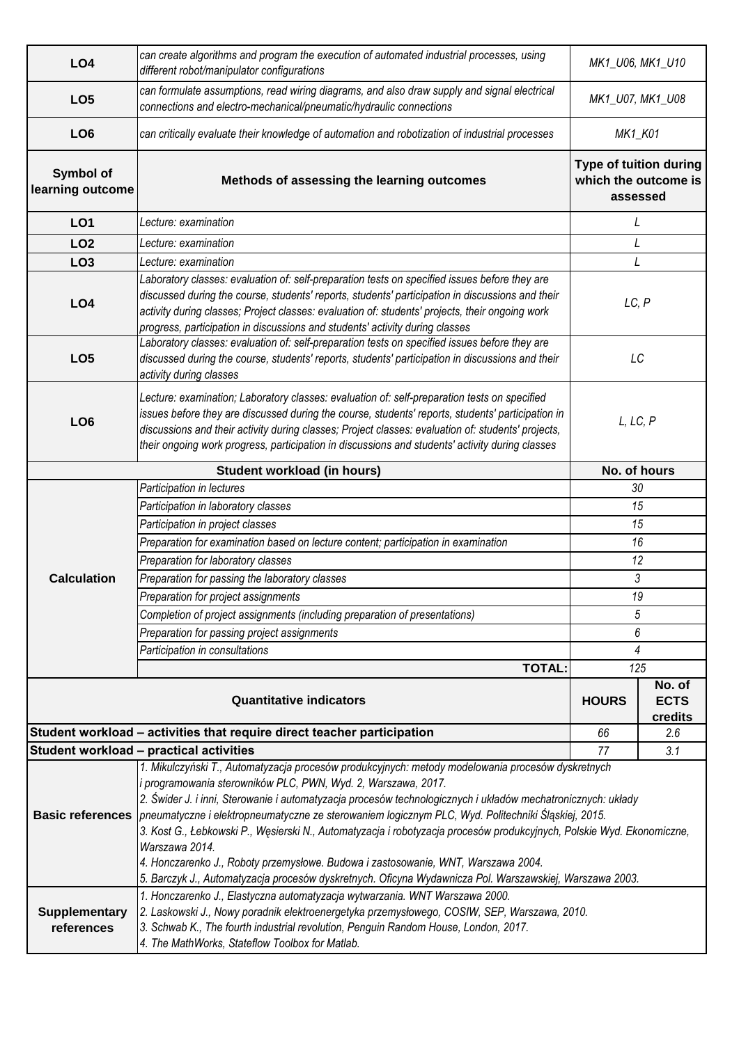| LO <sub>4</sub>               | can create algorithms and program the execution of automated industrial processes, using<br>different robot/manipulator configurations                                                                                                                                                                                                                                                                                                                                                                                                                                                                                                    | MK1_U06, MK1_U10                                           |                                  |  |  |
|-------------------------------|-------------------------------------------------------------------------------------------------------------------------------------------------------------------------------------------------------------------------------------------------------------------------------------------------------------------------------------------------------------------------------------------------------------------------------------------------------------------------------------------------------------------------------------------------------------------------------------------------------------------------------------------|------------------------------------------------------------|----------------------------------|--|--|
| LO <sub>5</sub>               | can formulate assumptions, read wiring diagrams, and also draw supply and signal electrical<br>connections and electro-mechanical/pneumatic/hydraulic connections                                                                                                                                                                                                                                                                                                                                                                                                                                                                         | MK1_U07, MK1_U08                                           |                                  |  |  |
| LO <sub>6</sub>               | can critically evaluate their knowledge of automation and robotization of industrial processes                                                                                                                                                                                                                                                                                                                                                                                                                                                                                                                                            | <b>MK1_K01</b>                                             |                                  |  |  |
| Symbol of<br>learning outcome | Methods of assessing the learning outcomes                                                                                                                                                                                                                                                                                                                                                                                                                                                                                                                                                                                                | Type of tuition during<br>which the outcome is<br>assessed |                                  |  |  |
| LO <sub>1</sub>               | Lecture: examination                                                                                                                                                                                                                                                                                                                                                                                                                                                                                                                                                                                                                      | L                                                          |                                  |  |  |
| LO <sub>2</sub>               | Lecture: examination                                                                                                                                                                                                                                                                                                                                                                                                                                                                                                                                                                                                                      | L                                                          |                                  |  |  |
| LO <sub>3</sub>               | Lecture: examination                                                                                                                                                                                                                                                                                                                                                                                                                                                                                                                                                                                                                      | L                                                          |                                  |  |  |
| LO <sub>4</sub>               | Laboratory classes: evaluation of: self-preparation tests on specified issues before they are<br>discussed during the course, students' reports, students' participation in discussions and their<br>activity during classes; Project classes: evaluation of: students' projects, their ongoing work<br>progress, participation in discussions and students' activity during classes                                                                                                                                                                                                                                                      | LC, P                                                      |                                  |  |  |
| LO <sub>5</sub>               | Laboratory classes: evaluation of: self-preparation tests on specified issues before they are<br>discussed during the course, students' reports, students' participation in discussions and their<br>activity during classes                                                                                                                                                                                                                                                                                                                                                                                                              | LC                                                         |                                  |  |  |
| LO <sub>6</sub>               | Lecture: examination; Laboratory classes: evaluation of: self-preparation tests on specified<br>issues before they are discussed during the course, students' reports, students' participation in<br>discussions and their activity during classes; Project classes: evaluation of: students' projects,<br>their ongoing work progress, participation in discussions and students' activity during classes                                                                                                                                                                                                                                | L, LC, P                                                   |                                  |  |  |
|                               | Student workload (in hours)                                                                                                                                                                                                                                                                                                                                                                                                                                                                                                                                                                                                               | No. of hours                                               |                                  |  |  |
|                               | Participation in lectures                                                                                                                                                                                                                                                                                                                                                                                                                                                                                                                                                                                                                 | 30                                                         |                                  |  |  |
|                               | Participation in laboratory classes                                                                                                                                                                                                                                                                                                                                                                                                                                                                                                                                                                                                       | 15                                                         |                                  |  |  |
|                               | Participation in project classes                                                                                                                                                                                                                                                                                                                                                                                                                                                                                                                                                                                                          | 15                                                         |                                  |  |  |
|                               | Preparation for examination based on lecture content; participation in examination                                                                                                                                                                                                                                                                                                                                                                                                                                                                                                                                                        | 16<br>12                                                   |                                  |  |  |
|                               | Preparation for laboratory classes                                                                                                                                                                                                                                                                                                                                                                                                                                                                                                                                                                                                        |                                                            |                                  |  |  |
| <b>Calculation</b>            | Preparation for passing the laboratory classes                                                                                                                                                                                                                                                                                                                                                                                                                                                                                                                                                                                            |                                                            | 3                                |  |  |
|                               | Preparation for project assignments                                                                                                                                                                                                                                                                                                                                                                                                                                                                                                                                                                                                       | 19                                                         |                                  |  |  |
|                               | Completion of project assignments (including preparation of presentations)                                                                                                                                                                                                                                                                                                                                                                                                                                                                                                                                                                | 5                                                          |                                  |  |  |
|                               | Preparation for passing project assignments                                                                                                                                                                                                                                                                                                                                                                                                                                                                                                                                                                                               | 6                                                          |                                  |  |  |
|                               | Participation in consultations                                                                                                                                                                                                                                                                                                                                                                                                                                                                                                                                                                                                            | 4                                                          |                                  |  |  |
|                               | <b>TOTAL:</b>                                                                                                                                                                                                                                                                                                                                                                                                                                                                                                                                                                                                                             | 125                                                        |                                  |  |  |
|                               | <b>Quantitative indicators</b>                                                                                                                                                                                                                                                                                                                                                                                                                                                                                                                                                                                                            | <b>HOURS</b>                                               | No. of<br><b>ECTS</b><br>credits |  |  |
|                               | Student workload - activities that require direct teacher participation                                                                                                                                                                                                                                                                                                                                                                                                                                                                                                                                                                   | 66                                                         | 2.6                              |  |  |
|                               | Student workload - practical activities                                                                                                                                                                                                                                                                                                                                                                                                                                                                                                                                                                                                   | 77                                                         | 3.1                              |  |  |
|                               | 1. Mikulczyński T., Automatyzacja procesów produkcyjnych: metody modelowania procesów dyskretnych<br>i programowania sterowników PLC, PWN, Wyd. 2, Warszawa, 2017.<br>2. Świder J. i inni, Sterowanie i automatyzacja procesów technologicznych i układów mechatronicznych: układy<br>Basic references pneumatyczne i elektropneumatyczne ze sterowaniem logicznym PLC, Wyd. Politechniki Śląskiej, 2015.<br>3. Kost G., Łebkowski P., Węsierski N., Automatyzacja i robotyzacja procesów produkcyjnych, Polskie Wyd. Ekonomiczne,<br>Warszawa 2014.<br>4. Honczarenko J., Roboty przemysłowe. Budowa i zastosowanie, WNT, Warszawa 2004. |                                                            |                                  |  |  |
|                               | 5. Barczyk J., Automatyzacja procesów dyskretnych. Oficyna Wydawnicza Pol. Warszawskiej, Warszawa 2003.                                                                                                                                                                                                                                                                                                                                                                                                                                                                                                                                   |                                                            |                                  |  |  |
| <b>Supplementary</b>          | 1. Honczarenko J., Elastyczna automatyzacja wytwarzania. WNT Warszawa 2000.<br>[2. Laskowski J., Nowy poradnik elektroenergetyka przemysłowego, COSIW, SEP, Warszawa, 2010.                                                                                                                                                                                                                                                                                                                                                                                                                                                               |                                                            |                                  |  |  |
| references                    | 3. Schwab K., The fourth industrial revolution, Penguin Random House, London, 2017.<br>4. The MathWorks, Stateflow Toolbox for Matlab.                                                                                                                                                                                                                                                                                                                                                                                                                                                                                                    |                                                            |                                  |  |  |